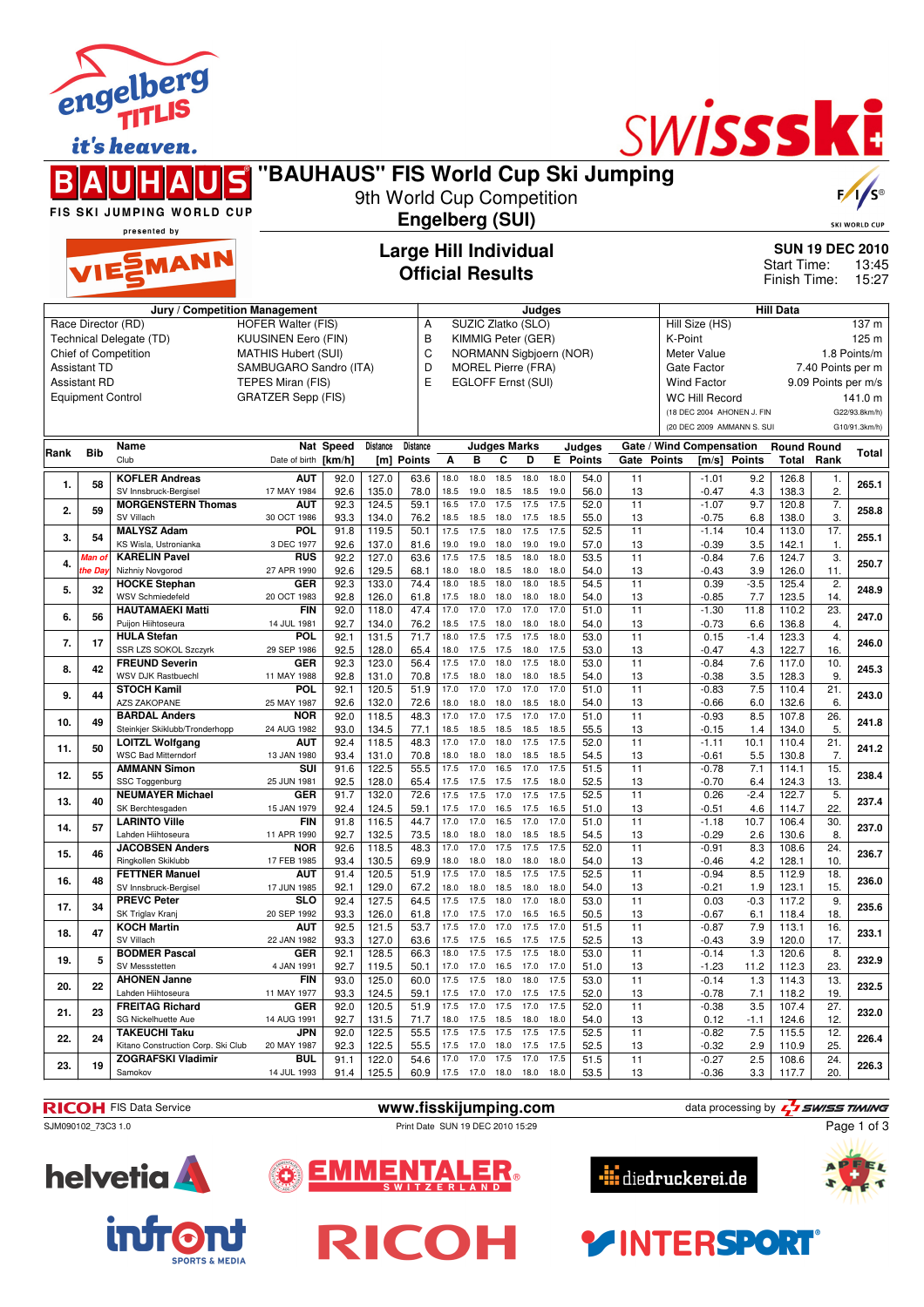|      |                          | engelberg<br>it's heaven.<br>FIS SKI JUMPING WORLD CUP<br>presented by<br>VIESMANN | "BAUHAUS" FIS World Cup Ski Jumping<br>Jury / Competition Management |              | 9th World Cup Competition | <b>Engelberg (SUI)</b><br><b>Official Results</b> |              |              | <b>Large Hill Individual</b> | Judges       |                 |          |                                                     | SWISSSKE                   |               | Start Time:<br>Finish Time:<br><b>Hill Data</b> |                          | <b>SKI WORLD CUF</b><br><b>SUN 19 DEC 2010</b><br>13:45<br>15:27 |
|------|--------------------------|------------------------------------------------------------------------------------|----------------------------------------------------------------------|--------------|---------------------------|---------------------------------------------------|--------------|--------------|------------------------------|--------------|-----------------|----------|-----------------------------------------------------|----------------------------|---------------|-------------------------------------------------|--------------------------|------------------------------------------------------------------|
|      |                          | Race Director (RD)                                                                 | <b>HOFER Walter (FIS)</b>                                            |              |                           | Α                                                 |              |              | SUZIC Zlatko (SLO)           |              |                 |          |                                                     | Hill Size (HS)             |               |                                                 |                          | 137 m                                                            |
|      |                          | Technical Delegate (TD)                                                            | KUUSINEN Eero (FIN)                                                  |              |                           | B                                                 |              |              | KIMMIG Peter (GER)           |              |                 |          | K-Point                                             |                            |               |                                                 |                          | 125 m                                                            |
|      |                          | Chief of Competition                                                               | <b>MATHIS Hubert (SUI)</b>                                           |              |                           | C                                                 |              |              | NORMANN Sigbjoern (NOR)      |              |                 |          |                                                     | <b>Meter Value</b>         |               |                                                 |                          | 1.8 Points/m                                                     |
|      | <b>Assistant TD</b>      |                                                                                    | SAMBUGARO Sandro (ITA)                                               |              |                           | D                                                 |              |              | <b>MOREL Pierre (FRA)</b>    |              |                 |          |                                                     | Gate Factor                |               |                                                 | 7.40 Points per m        |                                                                  |
|      | <b>Assistant RD</b>      |                                                                                    | TEPES Miran (FIS)<br><b>GRATZER Sepp (FIS)</b>                       |              |                           | E                                                 |              |              | EGLOFF Ernst (SUI)           |              |                 |          | <b>Wind Factor</b>                                  |                            |               |                                                 | 9.09 Points per m/s      |                                                                  |
|      | <b>Equipment Control</b> |                                                                                    |                                                                      |              |                           |                                                   |              |              |                              |              |                 |          | <b>WC Hill Record</b><br>(18 DEC 2004 AHONEN J. FIN |                            |               |                                                 | 141.0 m<br>G22/93.8km/h) |                                                                  |
|      |                          |                                                                                    |                                                                      |              |                           |                                                   |              |              |                              |              |                 |          |                                                     | (20 DEC 2009 AMMANN S. SUI |               |                                                 |                          | G10/91.3km/h)                                                    |
|      |                          | Name                                                                               |                                                                      | Nat Speed    | Distance                  | Distance                                          |              |              | <b>Judges Marks</b>          |              | Judges          |          |                                                     | Gate / Wind Compensation   |               | <b>Round Round</b>                              |                          |                                                                  |
| Rank | <b>Bib</b>               | Club                                                                               | Date of birth [km/h]                                                 |              | [m]                       | Points                                            | A            | B            | C<br>D                       |              | <b>E</b> Points | Gate     | <b>Points</b>                                       | [m/s]                      | <b>Points</b> |                                                 | <b>Total Rank</b>        | Total                                                            |
| 1.   | 58                       | <b>KOFLER Andreas</b>                                                              | <b>AUT</b>                                                           | 92.0         | 127.0                     | 63.6                                              | 18.0         | 18.0         | 18.5<br>18.0                 | 18.0         | 54.0            | 11       |                                                     | $-1.01$                    | 9.2           | 126.8                                           | 1.                       | 265.1                                                            |
|      |                          | SV Innsbruck-Bergisel<br><b>MORGENSTERN Thomas</b>                                 | 17 MAY 1984<br><b>AUT</b>                                            | 92.6<br>92.3 | 135.0<br>124.5            | 78.0<br>59.1                                      | 18.5<br>16.5 | 19.0<br>17.0 | 18.5<br>18.5<br>17.5<br>17.5 | 19.0<br>17.5 | 56.0<br>52.0    | 13<br>11 |                                                     | $-0.47$<br>$-1.07$         | 4.3<br>9.7    | 138.3<br>120.8                                  | 2.<br>7.                 |                                                                  |
| 2.   | 59                       | SV Villach                                                                         | 30 OCT 1986                                                          | 93.3         | 134.0                     | 76.2                                              | 18.5         | 18.5         | 18.0<br>17.5                 | 18.5         | 55.0            | 13       |                                                     | $-0.75$                    | 6.8           | 138.0                                           | 3.                       | 258.8                                                            |
| 3.   | 54                       | <b>MALYSZ Adam</b>                                                                 | <b>POL</b>                                                           | 91.8         | 119.5                     | 50.1                                              | 17.5         | 17.5         | 17.5<br>18.0                 | 17.5         | 52.5            | 11       |                                                     | $-1.14$                    | 10.4          | 113.0                                           | 17.                      | 255.1                                                            |
|      | Man o                    | KS Wisla, Ustronianka<br><b>KARELIN Pavel</b>                                      | 3 DEC 1977<br><b>RUS</b>                                             | 92.6<br>92.2 | 137.0<br>127.0            | 81.6<br>63.6                                      | 19.0<br>17.5 | 19.0<br>17.5 | 18.0<br>19.0<br>18.5<br>18.0 | 19.0<br>18.0 | 57.0<br>53.5    | 13<br>11 |                                                     | $-0.39$<br>$-0.84$         | 3.5<br>7.6    | 142.1<br>124.7                                  | 1.<br>3.                 |                                                                  |
| 4.   | he Da                    | Nizhniy Novgorod                                                                   | 27 APR 1990                                                          | 92.6         | 129.5                     | 68.1                                              | 18.0         | 18.0         | 18.5<br>18.0                 | 18.0         | 54.0            | 13       |                                                     | $-0.43$                    | 3.9           | 126.0                                           | 11.                      | 250.7                                                            |
| 5.   | 32                       | <b>HOCKE Stephan</b>                                                               | <b>GER</b>                                                           | 92.3         | 133.0                     | 74.4                                              | 18.0         | 18.5         | 18.0<br>18.0                 | 18.5         | 54.5            | 11       |                                                     | 0.39                       | $-3.5$        | 125.4                                           | 2.                       | 248.9                                                            |
|      |                          | <b>WSV Schmiedefeld</b><br><b>HAUTAMAEKI Matti</b>                                 | 20 OCT 1983<br><b>FIN</b>                                            | 92.8<br>92.0 | 126.0<br>118.0            | 61.8<br>47.4                                      | 17.5<br>17.0 | 18.0<br>17.0 | 18.0<br>18.0<br>17.0<br>17.0 | 18.0<br>17.0 | 54.0<br>51.0    | 13<br>11 |                                                     | $-0.85$<br>$-1.30$         | 7.7<br>11.8   | 123.5<br>110.2                                  | 14.<br>23.               |                                                                  |
| 6.   | 56                       | Puijon Hiihtoseura                                                                 | 14 JUL 1981                                                          | 92.7         | 134.0                     | 76.2                                              | 18.5         | 17.5         | 18.0<br>18.0                 | 18.0         | 54.0            | 13       |                                                     | $-0.73$                    | 6.6           | 136.8                                           | 4.                       | 247.0                                                            |
| 7.   | 17                       | <b>HULA Stefan</b><br>SSR LZS SOKOL Szczyrk                                        | <b>POL</b><br>29 SEP 1986                                            | 92.1<br>92.5 | 131.5<br>128.0            | 71.7<br>65.4                                      | 18.0<br>18.0 | 17.5<br>17.5 | 17.5<br>17.5<br>17.5<br>18.0 | 18.0<br>17.5 | 53.0<br>53.0    | 11<br>13 |                                                     | 0.15<br>$-0.47$            | $-1.4$<br>4.3 | 123.3<br>122.7                                  | 4.<br>16.                | 246.0                                                            |
|      |                          | <b>FREUND Severin</b>                                                              | <b>GER</b>                                                           | 92.3         | 123.0                     | 56.4                                              | 17.5         | 17.0         | 18.0<br>17.5                 | 18.0         | 53.0            | 11       |                                                     | $-0.84$                    | 7.6           | 117.0                                           | 10.                      |                                                                  |
| 8.   | 42                       | <b>WSV DJK Rastbuechl</b>                                                          | 11 MAY 1988                                                          | 92.8         | 131.0                     | 70.8                                              | 17.5         | 18.0         | 18.0<br>18.0                 | 18.5         | 54.0            | 13       |                                                     | $-0.38$                    | 3.5           | 128.3                                           | 9.                       | 245.3                                                            |
| 9.   | 44                       | <b>STOCH Kamil</b><br><b>AZS ZAKOPANE</b>                                          | <b>POL</b><br>25 MAY 1987                                            | 92.1<br>92.6 | 120.5<br>132.0            | 51.9<br>72.6                                      | 17.0<br>18.0 | 17.0<br>18.0 | 17.0<br>17.0<br>18.0<br>18.5 | 17.0<br>18.0 | 51.0<br>54.0    | 11<br>13 |                                                     | $-0.83$<br>$-0.66$         | 7.5<br>6.0    | 110.4<br>132.6                                  | 21.<br>6.                | 243.0                                                            |
| 10.  | 49                       | <b>BARDAL Anders</b>                                                               | <b>NOR</b>                                                           | 92.0         | 118.5                     | 48.3                                              | 17.0         | 17.0         | 17.5<br>17.0                 | 17.0         | 51.0            | 11       |                                                     | $-0.93$                    | 8.5           | 107.8                                           | 26.                      | 241.8                                                            |
|      |                          | Steinkjer Skiklubb/Tronderhopp                                                     | 24 AUG 1982                                                          | 93.0         | 134.5                     | 77.1                                              | 18.5         | 18.5         | 18.5<br>18.5                 | 18.5         | 55.5            | 13       |                                                     | $-0.15$                    | 1.4           | 134.0                                           | 5.                       |                                                                  |
| 11.  | 50                       | LOITZL Wolfgang<br><b>WSC Bad Mitterndorf</b>                                      | <b>AUT</b><br>13 JAN 1980                                            | 92.4<br>93.4 | 118.5<br>131.0            | 48.3<br>70.8                                      | 17.0<br>18.0 | 17.0<br>18.0 | 18.0<br>17.5<br>18.0 18.5    | 17.5<br>18.5 | 52.0<br>54.5    | 11<br>13 |                                                     | $-1.11$<br>-0.61           | 10.1<br>5.5   | 110.4<br>130.8                                  | 21.<br>7.                | 241.2                                                            |
| 12.  | 55                       | <b>AMMANN Simon</b>                                                                | SUI                                                                  | 91.6         | 122.5                     | 55.5                                              | 17.5         | 17.0         | 17.0<br>16.5                 | 17.5         | 51.5            | 11       |                                                     | $-0.78$                    | 7.1           | 114.1                                           | 15.                      | 238.4                                                            |
|      |                          | SSC Toggenburg                                                                     | 25 JUN 1981                                                          | 92.5         | 128.0                     | 65.4                                              | 17.5         | 17.5         | 17.5<br>17.5                 | 18.0         | 52.5            | 13       |                                                     | -0.70                      | 6.4           | 124.3                                           | 13.                      |                                                                  |
| 13.  | 40                       | <b>NEUMAYER Michael</b><br>SK Berchtesgaden                                        | GER<br>15 JAN 1979                                                   | 91.7<br>92.4 | 132.0<br>124.5            | 72.6<br>59.1                                      | 17.5<br>17.5 | 17.5<br>17.0 | 17.5<br>17.0<br>16.5<br>17.5 | 17.5<br>16.5 | 52.5<br>51.0    | 11<br>13 |                                                     | 0.26<br>$-0.51$            | $-2.4$<br>4.6 | 122.7<br>114.7                                  | 5.<br>22.                | 237.4                                                            |
| 14.  | 57                       | <b>LARINTO Ville</b>                                                               | <b>FIN</b>                                                           | 91.8         | 116.5                     | 44.7                                              | 17.0         | 17.0         | 16.5<br>17.0                 | 17.0         | 51.0            | 11       |                                                     | $-1.18$                    | 10.7          | 106.4                                           | 30.                      | 237.0                                                            |
|      |                          | Lahden Hiihtoseura                                                                 | 11 APR 1990                                                          | 92.7         | 132.5                     | 73.5                                              | 18.0         | 18.0         | 18.0<br>18.5                 | 18.5         | 54.5            | 13       |                                                     | $-0.29$                    | 2.6           | 130.6                                           | 8.                       |                                                                  |
| 15.  | 46                       | <b>JACOBSEN Anders</b><br>Ringkollen Skiklubb                                      | <b>NOR</b><br>17 FEB 1985                                            | 92.6<br>93.4 | 118.5<br>130.5            | 48.3<br>69.9                                      | 17.0<br>18.0 | 17.0<br>18.0 | 17.5<br>17.5<br>18.0 18.0    | 17.5<br>18.0 | 52.0<br>54.0    | 11<br>13 |                                                     | $-0.91$<br>$-0.46$         | 8.3<br>4.2    | 108.6<br>128.1                                  | 24.<br>10.               | 236.7                                                            |
| 16.  | 48                       | <b>FETTNER Manuel</b>                                                              | <b>AUT</b>                                                           | 91.4         | 120.5                     | 51.9                                              | 17.5         | 17.0         | 18.5<br>17.5                 | 17.5         | 52.5            | 11       |                                                     | $-0.94$                    | 8.5           | 112.9                                           | 18.                      | 236.0                                                            |
|      |                          | SV Innsbruck-Bergisel<br><b>PREVC Peter</b>                                        | 17 JUN 1985<br>SLO                                                   | 92.1<br>92.4 | 129.0<br>127.5            | 67.2<br>64.5                                      | 18.0<br>17.5 | 18.0<br>17.5 | 18.5<br>18.0<br>18.0<br>17.0 | 18.0<br>18.0 | 54.0<br>53.0    | 13<br>11 |                                                     | -0.21<br>0.03              | 1.9<br>$-0.3$ | 123.1<br>117.2                                  | 15.<br>9.                |                                                                  |
| 17.  | 34                       | SK Triglav Kranj                                                                   | 20 SEP 1992                                                          | 93.3         | 126.0                     | 61.8                                              | 17.0         | 17.5         | 17.0<br>16.5                 | 16.5         | 50.5            | 13       |                                                     | -0.67                      | 6.1           | 118.4                                           | 18.                      | 235.6                                                            |
| 18.  | 47                       | <b>KOCH Martin</b>                                                                 | <b>AUT</b>                                                           | 92.5         | 121.5                     | 53.7                                              | 17.5         | 17.0         | 17.5<br>17.0                 | 17.0         | 51.5            | 11       |                                                     | $-0.87$                    | 7.9           | 113.1                                           | 16.                      | 233.1                                                            |
|      |                          | SV Villach                                                                         | 22 JAN 1982                                                          | 93.3         | 127.0                     | 63.6                                              | 17.5         | 17.5         | 16.5<br>17.5                 | 17.5         | 52.5            | 13       |                                                     | $-0.43$                    | 3.9           | 120.0                                           | 17.                      |                                                                  |
| 19.  | 5                        | <b>BODMER Pascal</b><br>SV Messstetten                                             | GER<br>4 JAN 1991                                                    | 92.1<br>92.7 | 128.5<br>119.5            | 66.3<br>50.1                                      | 18.0<br>17.0 | 17.5<br>17.0 | 17.5<br>17.5<br>16.5<br>17.0 | 18.0<br>17.0 | 53.0<br>51.0    | 11<br>13 |                                                     | $-0.14$<br>$-1.23$         | 1.3<br>11.2   | 120.6<br>112.3                                  | 8.<br>23.                | 232.9                                                            |
| 20.  | 22                       | <b>AHONEN Janne</b>                                                                | <b>FIN</b>                                                           | 93.0         | 125.0                     | 60.0                                              | 17.5         | 17.5         | 18.0<br>18.0                 | 17.5         | 53.0            | 11       |                                                     | $-0.14$                    | 1.3           | 114.3                                           | 13.                      | 232.5                                                            |
|      |                          | Lahden Hiihtoseura                                                                 | 11 MAY 1977                                                          | 93.3         | 124.5                     | 59.1                                              |              |              | 17.5 17.0 17.0 17.5          | 17.5         | 52.0            | 13       |                                                     | $-0.78$                    | 7.1           | 118.2                                           | 19.                      |                                                                  |



**21. 23 FREITAG Richard**

**22. 24 TAKEUCHI Taku**

**23. 19 ZOGRAFSKI Vladimir** Samokov

SG Nickelhuette Aue

Kitano Construction Corp. Ski Club





**22.0 122.5 55.5 17.5 17.5 17.5 17.5 17.5 52.5 11 -0.82 7.5 115.5 12. 226.4** 92.3 | 122.5 | 55.5 | 17.5 17.0 18.0 17.5 17.5 | 52.5 | 13 | -0.32 2.9 | 110.9 | 25.

14 AUG 1991 **232.0 CER** | 92.0 | 12.0.5 | 51.9 | 17.5 17.0 17.5 17.0 17.5 | 52.0 | 11 | -0.38 2.5 | 107.4 | 27. | 232.0<br>14 AUG 1991 | 92.7 | 131.5 | 71.7 | 18.0 17.5 18.5 18.0 18.0 | 54.0 | 13 | 0.12 -1.1 | 124.6 | 12. | 92.7 | 131.5 | 71.7 | 18.0 17.5 18.5 18.0 18.0 | 54.0 | 13 | 0.12 -1.1 | 124.6 | 12.

**BUL** 91.1 122.0 54.6 17.0 17.0 17.5 17.0 17.5 51.5 11 -0.27 2.5 108.6 24. 226.3<br>14 JUL 1993 91.4 125.5 60.9 17.5 17.0 18.0 18.0 18.0 53.5 13 -0.36 3.3 117.7 20.





ENTALER. EMME

**RICOH** FIS Data Service **www.fisskijumping.com** data processing by  $\frac{7}{2}$  **swiss TIMING** 



SJM090102\_73C3 1.0 Print Date SUN 19 DEC 2010 15:29

**BUL**<br>14 JUL 1993

**GER**

**JPN** 20 MAY 1987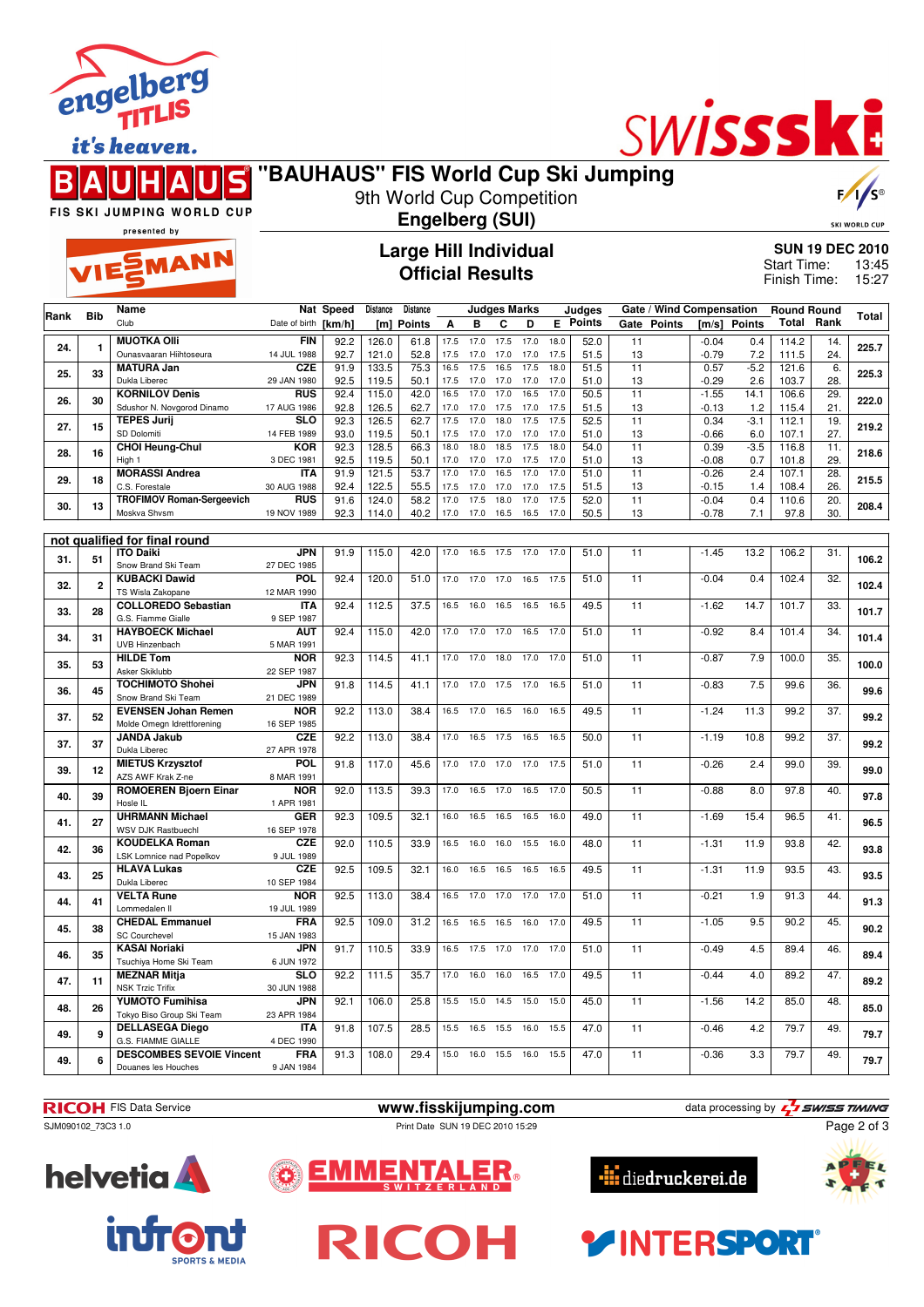

it's heaven.





## **"BAUHAUS" FIS World Cup Ski Jumping** 9th World Cup Competition

**Engelberg (SUI)**

 $\sqrt{2}$ 

**SKI WORLD CUP** 

FIS SKI JUMPING WORLD CUP presented by

## EMANN

## **Large Hill Individual Official Results**

| <b>SUN 19 DEC 2010</b> |       |
|------------------------|-------|
| Start Time:            | 13:45 |
| Finish Time:           | 15:27 |

| Rank | <b>Bib</b>     | Name                                             |                          | Nat Speed    | Distance       | Distance      |              |              | <b>Judges Marks</b> |              |              | Judges        |                 |             |                    | Gate / Wind Compensation<br><b>Round Round</b> |                |                   | Total |
|------|----------------|--------------------------------------------------|--------------------------|--------------|----------------|---------------|--------------|--------------|---------------------|--------------|--------------|---------------|-----------------|-------------|--------------------|------------------------------------------------|----------------|-------------------|-------|
|      |                | Club                                             | Date of birth [km/h]     |              | [m]            | <b>Points</b> | A            | в            | C                   | D            | E.           | <b>Points</b> |                 | Gate Points | [m/s]              | <b>Points</b>                                  | Total          | Rank              |       |
|      |                | <b>MUOTKA OIII</b>                               | <b>FIN</b>               | 92.2         | 126.0          | 61.8          | 17.5         | 17.0         | 17.5                | 17.0         | 18.0         | 52.0          | 11              |             | $-0.04$            | 0.4                                            | 114.2          | 14.               |       |
| 24.  | 1              | Ounasvaaran Hiihtoseura                          | 14 JUL 1988              | 92.7         | 121.0          | 52.8          | 17.5         | 17.0         | 17.0                | 17.0         | 17.5         | 51.5          | 13              |             | $-0.79$            | 7.2                                            | 111.5          | 24.               | 225.7 |
| 25.  | 33             | <b>MATURA Jan</b>                                | <b>CZE</b>               | 91.9         | 133.5          | 75.3          | 16.5         | 17.5         | 16.5                | 17.5         | 18.0         | 51.5          | $\overline{11}$ |             | 0.57               | $-5.2$                                         | 121.6          | 6.                | 225.3 |
|      |                | Dukla Liberec                                    | 29 JAN 1980              | 92.5         | 119.5          | 50.1          | 17.5         | 17.0         | 17.0                | 17.0         | 17.0         | 51.0          | 13              |             | $-0.29$            | 2.6                                            | 103.7          | 28.               |       |
| 26.  | 30             | <b>KORNILOV Denis</b>                            | <b>RUS</b>               | 92.4         | 115.0          | 42.0          | 16.5         | 17.0         | 17.0                | 16.5         | 17.0         | 50.5          | $\overline{11}$ |             | $-1.55$            | 14.1                                           | 106.6          | 29.               | 222.0 |
|      |                | Sdushor N. Novgorod Dinamo                       | 17 AUG 1986              | 92.8         | 126.5          | 62.7          | 17.0         | 17.0         | 17.5                | 17.0         | 17.5         | 51.5          | 13              |             | $-0.13$            | 1.2                                            | 115.4          | 21.               |       |
| 27.  | 15             | <b>TEPES Jurij</b>                               | <b>SLO</b>               | 92.3         | 126.5          | 62.7          | 17.5         | 17.0         | 18.0                | 17.5         | 17.5         | 52.5          | 11              |             | 0.34               | $-3.1$                                         | 112.1          | 19.               | 219.2 |
|      |                | SD Dolomiti                                      | 14 FEB 1989              | 93.0         | 119.5          | 50.1          | 17.5         | 17.0         | 17.0                | 17.0         | 17.0         | 51.0          | 13              |             | $-0.66$            | 6.0                                            | 107.1          | 27.               |       |
| 28.  | 16             | <b>CHOI Heung-Chul</b>                           | <b>KOR</b>               | 92.3         | 128.5          | 66.3          | 18.0         | 18.0         | 18.5                | 17.5         | 18.0         | 54.0          | 11              |             | 0.39               | $-3.5$                                         | 116.8          | 11.               | 218.6 |
|      |                | High 1<br><b>MORASSI Andrea</b>                  | 3 DEC 1981<br><b>ITA</b> | 92.5<br>91.9 | 119.5<br>121.5 | 50.1<br>53.7  | 17.0<br>17.0 | 17.0<br>17.0 | 17.0<br>16.5        | 17.5<br>17.0 | 17.0<br>17.0 | 51.0<br>51.0  | 13<br>11        |             | $-0.08$<br>$-0.26$ | 0.7<br>2.4                                     | 101.8<br>107.1 | 29.<br>28.        |       |
| 29.  | 18             | C.S. Forestale                                   | 30 AUG 1988              | 92.4         | 122.5          | 55.5          | 17.5         | 17.0         | 17.0                | 17.0         | 17.5         | 51.5          | 13              |             | $-0.15$            | 1.4                                            | 108.4          | 26.               | 215.5 |
|      |                | <b>TROFIMOV Roman-Sergeevich</b>                 | <b>RUS</b>               | 91.6         | 124.0          | 58.2          | 17.0         | 17.5         | 18.0                | 17.0         | 17.5         | 52.0          | $\overline{11}$ |             | $-0.04$            | 0.4                                            | 110.6          | $\overline{20}$ . |       |
| 30.  | 13             | Moskva Shvsm                                     | 19 NOV 1989              | 92.3         | 114.0          | 40.2          | 17.0         | 17.0 16.5    |                     | 16.5         | 17.0         | 50.5          | 13              |             | $-0.78$            | 7.1                                            | 97.8           | 30.               | 208.4 |
|      |                |                                                  |                          |              |                |               |              |              |                     |              |              |               |                 |             |                    |                                                |                |                   |       |
|      |                | not qualified for final round                    |                          |              |                |               |              |              |                     |              |              |               |                 |             |                    |                                                |                |                   |       |
| 31.  | 51             | <b>ITO Daiki</b>                                 | <b>JPN</b>               | 91.9         | 115.0          | 42.0          | 17.0         | 16.5         | 17.5                | 17.0         | 17.0         | 51.0          | 11              |             | $-1.45$            | 13.2                                           | 106.2          | 31.               | 106.2 |
|      |                | Snow Brand Ski Team                              | 27 DEC 1985              |              |                |               |              |              |                     |              |              |               |                 |             |                    |                                                |                |                   |       |
| 32.  | $\overline{2}$ | <b>KUBACKI Dawid</b>                             | <b>POL</b>               | 92.4         | 120.0          | 51.0          | 17.0         | 17.0         | 17.0                | 16.5         | 17.5         | 51.0          | $\overline{11}$ |             | $-0.04$            | 0.4                                            | 102.4          | $\overline{32}$   | 102.4 |
|      |                | TS Wisla Zakopane                                | 12 MAR 1990              |              |                |               |              |              |                     |              |              |               |                 |             |                    |                                                |                |                   |       |
| 33.  | 28             | <b>COLLOREDO Sebastian</b><br>G.S. Fiamme Gialle | <b>ITA</b><br>9 SEP 1987 | 92.4         | 112.5          | 37.5          | 16.5         | 16.0         | 16.5                | 16.5         | 16.5         | 49.5          | 11              |             | $-1.62$            | 14.7                                           | 101.7          | 33.               | 101.7 |
|      |                | <b>HAYBOECK Michael</b>                          | <b>AUT</b>               | 92.4         | 115.0          | 42.0          | 17.0         | 17.0         | 17.0                | 16.5         | 17.0         | 51.0          | 11              |             | $-0.92$            | 8.4                                            | 101.4          | 34.               |       |
| 34.  | 31             | UVB Hinzenbach                                   | 5 MAR 1991               |              |                |               |              |              |                     |              |              |               |                 |             |                    |                                                |                |                   | 101.4 |
|      |                | <b>HILDE Tom</b>                                 | <b>NOR</b>               | 92.3         | 114.5          | 41.1          | 17.0         | 17.0         | 18.0                | 17.0         | 17.0         | 51.0          | $\overline{11}$ |             | $-0.87$            | 7.9                                            | 100.0          | $\overline{35}$   |       |
| 35.  | 53             | Asker Skiklubb                                   | 22 SEP 1987              |              |                |               |              |              |                     |              |              |               |                 |             |                    |                                                |                |                   | 100.0 |
| 36.  | 45             | <b>TOCHIMOTO Shohei</b>                          | <b>JPN</b>               | 91.8         | 114.5          | 41.1          | 17.0         | 17.0         | 17.5                | 17.0         | 16.5         | 51.0          | 11              |             | $-0.83$            | 7.5                                            | 99.6           | 36.               |       |
|      |                | Snow Brand Ski Team                              | 21 DEC 1989              |              |                |               |              |              |                     |              |              |               |                 |             |                    |                                                |                |                   | 99.6  |
| 37.  | 52             | <b>EVENSEN Johan Remen</b>                       | <b>NOR</b>               | 92.2         | 113.0          | 38.4          | 16.5         | 17.0         | 16.5                | 16.0         | 16.5         | 49.5          | 11              |             | $-1.24$            | 11.3                                           | 99.2           | 37.               | 99.2  |
|      |                | Molde Omegn Idrettforening                       | 16 SEP 1985              |              |                |               |              |              |                     |              |              |               |                 |             |                    |                                                |                |                   |       |
| 37.  | 37             | <b>JANDA Jakub</b>                               | <b>CZE</b>               | 92.2         | 113.0          | 38.4          | 17.0         | 16.5         | 17.5                | 16.5         | 16.5         | 50.0          | 11              |             | $-1.19$            | 10.8                                           | 99.2           | $\overline{37}$ . | 99.2  |
|      |                | Dukla Liberec                                    | 27 APR 1978              |              |                |               |              |              |                     |              |              |               |                 |             |                    |                                                |                | 39.               |       |
| 39.  | 12             | <b>MIETUS Krzysztof</b><br>AZS AWF Krak Z-ne     | POL<br>8 MAR 1991        | 91.8         | 117.0          | 45.6          | 17.0         | 17.0         | 17.0                | 17.0         | 17.5         | 51.0          | 11              |             | $-0.26$            | 2.4                                            | 99.0           |                   | 99.0  |
|      |                | <b>ROMOEREN Bjoern Einar</b>                     | <b>NOR</b>               | 92.0         | 113.5          | 39.3          | 17.0         | 16.5         | 17.0                | 16.5         | 17.0         | 50.5          | 11              |             | $-0.88$            | 8.0                                            | 97.8           | 40.               |       |
| 40.  | 39             | Hosle IL                                         | 1 APR 1981               |              |                |               |              |              |                     |              |              |               |                 |             |                    |                                                |                |                   | 97.8  |
|      |                | <b>UHRMANN Michael</b>                           | <b>GER</b>               | 92.3         | 109.5          | 32.1          | 16.0         | 16.5         | 16.5                | 16.5         | 16.0         | 49.0          | 11              |             | $-1.69$            | 15.4                                           | 96.5           | 41.               |       |
| 41.  | 27             | WSV DJK Rastbuechl                               | 16 SEP 1978              |              |                |               |              |              |                     |              |              |               |                 |             |                    |                                                |                |                   | 96.5  |
| 42.  | 36             | <b>KOUDELKA Roman</b>                            | <b>CZE</b>               | 92.0         | 110.5          | 33.9          | 16.5         | 16.0         | 16.0                | 15.5         | 16.0         | 48.0          | 11              |             | $-1.31$            | 11.9                                           | 93.8           | 42.               | 93.8  |
|      |                | LSK Lomnice nad Popelkov                         | 9 JUL 1989               |              |                |               |              |              |                     |              |              |               |                 |             |                    |                                                |                |                   |       |
| 43.  | 25             | <b>HLAVA Lukas</b>                               | <b>CZE</b>               | 92.5         | 109.5          | 32.1          | 16.0         | 16.5         | 16.5                | 16.5         | 16.5         | 49.5          | 11              |             | $-1.31$            | 11.9                                           | 93.5           | 43.               | 93.5  |
|      |                | Dukla Liberec                                    | 10 SEP 1984              |              |                |               |              |              |                     |              |              |               |                 |             |                    |                                                |                |                   |       |
| 44.  | 41             | <b>VELTA Rune</b>                                | <b>NOR</b>               | 92.5         | 113.0          | 38.4          | 16.5         | 17.0         | 17.0                | 17.0         | 17.0         | 51.0          | 11              |             | $-0.21$            | 1.9                                            | 91.3           | 44.               | 91.3  |
|      |                | Lommedalen II                                    | 19 JUL 1989              |              |                |               |              |              | 16.5                | 16.0         | 17.0         |               |                 |             |                    |                                                |                |                   |       |
| 45.  | 38             | <b>CHEDAL Emmanuel</b><br><b>SC Courchevel</b>   | FRA<br>15 JAN 1983       | 92.5         | 109.0          | 31.2          | 16.5         | 16.5         |                     |              |              | 49.5          | 11              |             | $-1.05$            | 9.5                                            | 90.2           | 45.               | 90.2  |
|      |                | <b>KASAI Noriaki</b>                             | JPN                      | 91.7         | 110.5          | 33.9          | 16.5         | 17.5         | 17.0                | 17.0         | 17.0         | 51.0          | $\overline{11}$ |             | $-0.49$            | 4.5                                            | 89.4           | 46.               |       |
| 46.  | 35             | Tsuchiya Home Ski Team                           | 6 JUN 1972               |              |                |               |              |              |                     |              |              |               |                 |             |                    |                                                |                |                   | 89.4  |
|      |                | <b>MEZNAR Mitja</b>                              | <b>SLO</b>               | 92.2         | 111.5          | 35.7          | 17.0         | 16.0         | 16.0                | 16.5         | 17.0         | 49.5          | 11              |             | $-0.44$            | 4.0                                            | 89.2           | 47.               |       |
| 47.  | 11             | <b>NSK Trzic Trifix</b>                          | 30 JUN 1988              |              |                |               |              |              |                     |              |              |               |                 |             |                    |                                                |                |                   | 89.2  |
| 48.  | 26             | <b>YUMOTO Fumihisa</b>                           | <b>JPN</b>               | 92.1         | 106.0          | 25.8          | 15.5         | 15.0         | 14.5                | 15.0         | 15.0         | 45.0          | 11              |             | $-1.56$            | 14.2                                           | 85.0           | 48.               | 85.0  |
|      |                | Tokyo Biso Group Ski Team                        | 23 APR 1984              |              |                |               |              |              |                     |              |              |               |                 |             |                    |                                                |                |                   |       |
| 49.  | 9              | <b>DELLASEGA Diego</b>                           | <b>ITA</b>               | 91.8         | 107.5          | 28.5          | 15.5         | 16.5         | 15.5                | 16.0         | 15.5         | 47.0          | $\overline{11}$ |             | $-0.46$            | 4.2                                            | 79.7           | 49.               | 79.7  |
|      |                | G.S. FIAMME GIALLE                               | 4 DEC 1990               |              |                |               |              |              |                     |              |              |               |                 |             |                    |                                                |                |                   |       |
| 49.  | 6              | <b>DESCOMBES SEVOIE Vincent</b>                  | <b>FRA</b>               | 91.3         | 108.0          | 29.4          | 15.0         | 16.0         | 15.5                | 16.0         | 15.5         | 47.0          | 11              |             | $-0.36$            | 3.3                                            | 79.7           | 49.               | 79.7  |
|      |                | Douanes les Houches                              | 9 JAN 1984               |              |                |               |              |              |                     |              |              |               |                 |             |                    |                                                |                |                   |       |

**RICOH** FIS Data Service **www.fisskijumping.com** data processing by  $\frac{7}{2}$  **swiss TIMING** 

Д

RICOH

Page 2 of 3



ER.







**FINTERSPORT**